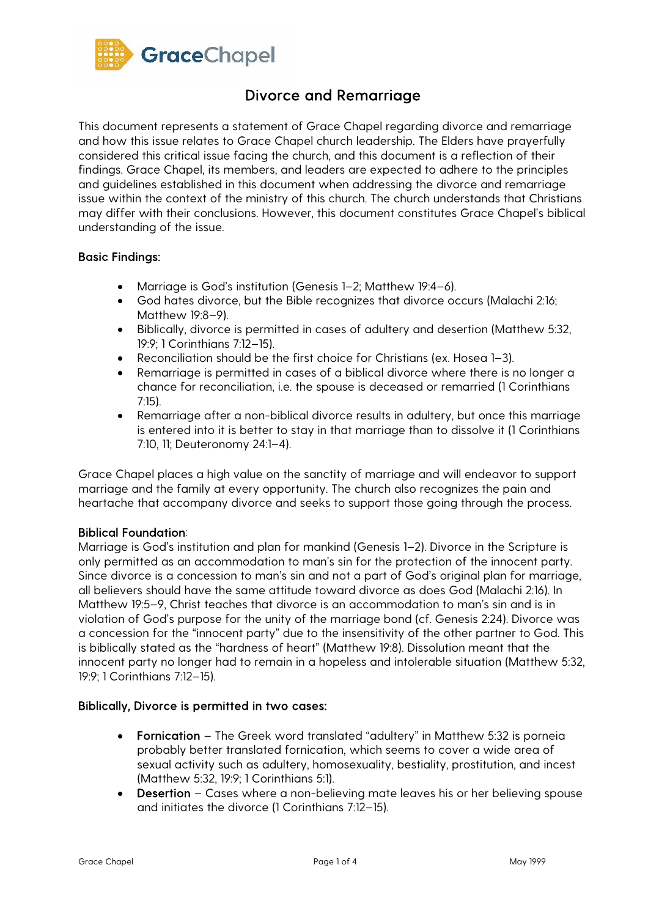

This document represents a statement of Grace Chapel regarding divorce and remarriage and how this issue relates to Grace Chapel church leadership. The Elders have prayerfully considered this critical issue facing the church, and this document is a reflection of their findings. Grace Chapel, its members, and leaders are expected to adhere to the principles and guidelines established in this document when addressing the divorce and remarriage issue within the context of the ministry of this church. The church understands that Christians may differ with their conclusions. However, this document constitutes Grace Chapel's biblical understanding of the issue.

### Basic Findings:

- Marriage is God's institution (Genesis 1–2; Matthew 19:4–6).
- God hates divorce, but the Bible recognizes that divorce occurs (Malachi 2:16; Matthew 19:8–9).
- Biblically, divorce is permitted in cases of adultery and desertion (Matthew 5:32, 19:9; 1 Corinthians 7:12–15).
- Reconciliation should be the first choice for Christians (ex. Hosea 1–3).
- Remarriage is permitted in cases of a biblical divorce where there is no longer a chance for reconciliation, i.e. the spouse is deceased or remarried (1 Corinthians 7:15).
- Remarriage after a non-biblical divorce results in adultery, but once this marriage is entered into it is better to stay in that marriage than to dissolve it (1 Corinthians 7:10, 11; Deuteronomy 24:1–4).

Grace Chapel places a high value on the sanctity of marriage and will endeavor to support marriage and the family at every opportunity. The church also recognizes the pain and heartache that accompany divorce and seeks to support those going through the process.

### Biblical Foundation:

Marriage is God's institution and plan for mankind (Genesis 1–2). Divorce in the Scripture is only permitted as an accommodation to man's sin for the protection of the innocent party. Since divorce is a concession to man's sin and not a part of God's original plan for marriage, all believers should have the same attitude toward divorce as does God (Malachi 2:16). In Matthew 19:5–9, Christ teaches that divorce is an accommodation to man's sin and is in violation of God's purpose for the unity of the marriage bond (cf. Genesis 2:24). Divorce was a concession for the "innocent party" due to the insensitivity of the other partner to God. This is biblically stated as the "hardness of heart" (Matthew 19:8). Dissolution meant that the innocent party no longer had to remain in a hopeless and intolerable situation (Matthew 5:32, 19:9; 1 Corinthians 7:12–15).

### Biblically, Divorce is permitted in two cases:

- Fornication The Greek word translated "adultery" in Matthew 5:32 is porneia probably better translated fornication, which seems to cover a wide area of sexual activity such as adultery, homosexuality, bestiality, prostitution, and incest (Matthew 5:32, 19:9; 1 Corinthians 5:1).
- Desertion Cases where a non-believing mate leaves his or her believing spouse and initiates the divorce (1 Corinthians 7:12–15).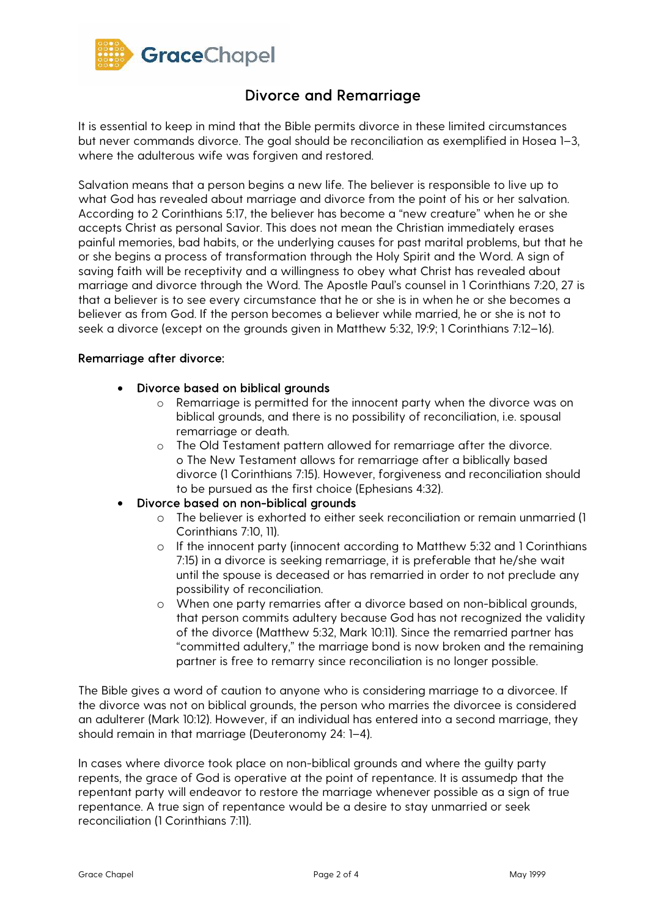

It is essential to keep in mind that the Bible permits divorce in these limited circumstances but never commands divorce. The goal should be reconciliation as exemplified in Hosea 1–3, where the adulterous wife was forgiven and restored.

Salvation means that a person begins a new life. The believer is responsible to live up to what God has revealed about marriage and divorce from the point of his or her salvation. According to 2 Corinthians 5:17, the believer has become a "new creature" when he or she accepts Christ as personal Savior. This does not mean the Christian immediately erases painful memories, bad habits, or the underlying causes for past marital problems, but that he or she begins a process of transformation through the Holy Spirit and the Word. A sign of saving faith will be receptivity and a willingness to obey what Christ has revealed about marriage and divorce through the Word. The Apostle Paul's counsel in 1 Corinthians 7:20, 27 is that a believer is to see every circumstance that he or she is in when he or she becomes a believer as from God. If the person becomes a believer while married, he or she is not to seek a divorce (except on the grounds given in Matthew 5:32, 19:9; 1 Corinthians 7:12–16).

#### Remarriage after divorce:

### • Divorce based on biblical grounds

- o Remarriage is permitted for the innocent party when the divorce was on biblical grounds, and there is no possibility of reconciliation, i.e. spousal remarriage or death.
- o The Old Testament pattern allowed for remarriage after the divorce. o The New Testament allows for remarriage after a biblically based divorce (1 Corinthians 7:15). However, forgiveness and reconciliation should to be pursued as the first choice (Ephesians 4:32).
- Divorce based on non-biblical grounds
	- o The believer is exhorted to either seek reconciliation or remain unmarried (1 Corinthians 7:10, 11).
	- o If the innocent party (innocent according to Matthew 5:32 and 1 Corinthians 7:15) in a divorce is seeking remarriage, it is preferable that he/she wait until the spouse is deceased or has remarried in order to not preclude any possibility of reconciliation.
	- o When one party remarries after a divorce based on non-biblical grounds, that person commits adultery because God has not recognized the validity of the divorce (Matthew 5:32, Mark 10:11). Since the remarried partner has "committed adultery," the marriage bond is now broken and the remaining partner is free to remarry since reconciliation is no longer possible.

The Bible gives a word of caution to anyone who is considering marriage to a divorcee. If the divorce was not on biblical grounds, the person who marries the divorcee is considered an adulterer (Mark 10:12). However, if an individual has entered into a second marriage, they should remain in that marriage (Deuteronomy 24: 1–4).

In cases where divorce took place on non-biblical grounds and where the guilty party repents, the grace of God is operative at the point of repentance. It is assumedp that the repentant party will endeavor to restore the marriage whenever possible as a sign of true repentance. A true sign of repentance would be a desire to stay unmarried or seek reconciliation (1 Corinthians 7:11).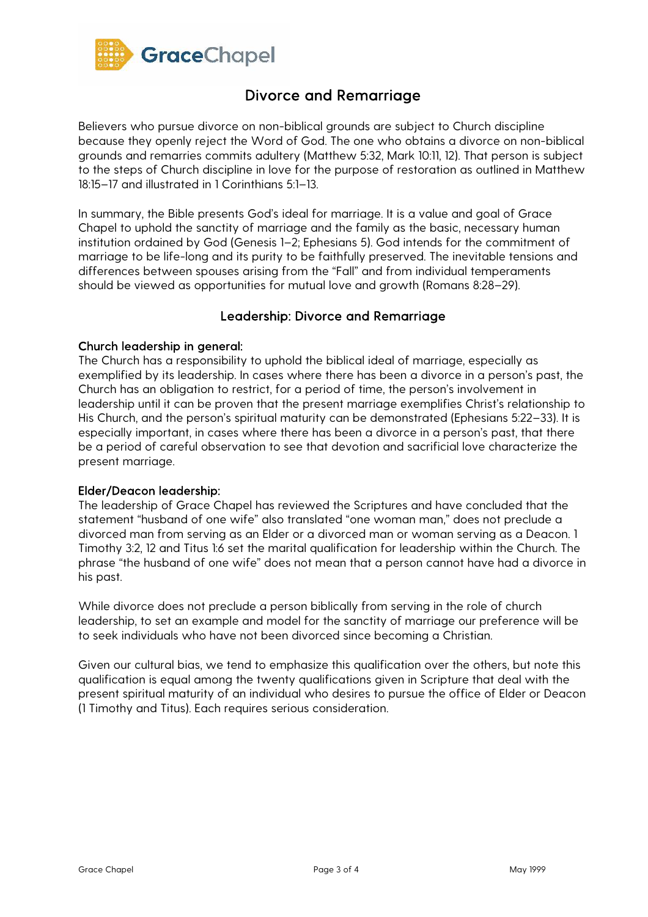

Believers who pursue divorce on non-biblical grounds are subject to Church discipline because they openly reject the Word of God. The one who obtains a divorce on non-biblical grounds and remarries commits adultery (Matthew 5:32, Mark 10:11, 12). That person is subject to the steps of Church discipline in love for the purpose of restoration as outlined in Matthew 18:15–17 and illustrated in 1 Corinthians 5:1–13.

In summary, the Bible presents God's ideal for marriage. It is a value and goal of Grace Chapel to uphold the sanctity of marriage and the family as the basic, necessary human institution ordained by God (Genesis 1–2; Ephesians 5). God intends for the commitment of marriage to be life-long and its purity to be faithfully preserved. The inevitable tensions and differences between spouses arising from the "Fall" and from individual temperaments should be viewed as opportunities for mutual love and growth (Romans 8:28–29).

### Leadership: Divorce and Remarriage

### Church leadership in general:

The Church has a responsibility to uphold the biblical ideal of marriage, especially as exemplified by its leadership. In cases where there has been a divorce in a person's past, the Church has an obligation to restrict, for a period of time, the person's involvement in leadership until it can be proven that the present marriage exemplifies Christ's relationship to His Church, and the person's spiritual maturity can be demonstrated (Ephesians 5:22–33). It is especially important, in cases where there has been a divorce in a person's past, that there be a period of careful observation to see that devotion and sacrificial love characterize the present marriage.

### Elder/Deacon leadership:

The leadership of Grace Chapel has reviewed the Scriptures and have concluded that the statement "husband of one wife" also translated "one woman man," does not preclude a divorced man from serving as an Elder or a divorced man or woman serving as a Deacon. 1 Timothy 3:2, 12 and Titus 1:6 set the marital qualification for leadership within the Church. The phrase "the husband of one wife" does not mean that a person cannot have had a divorce in his past.

While divorce does not preclude a person biblically from serving in the role of church leadership, to set an example and model for the sanctity of marriage our preference will be to seek individuals who have not been divorced since becoming a Christian.

Given our cultural bias, we tend to emphasize this qualification over the others, but note this qualification is equal among the twenty qualifications given in Scripture that deal with the present spiritual maturity of an individual who desires to pursue the office of Elder or Deacon (1 Timothy and Titus). Each requires serious consideration.